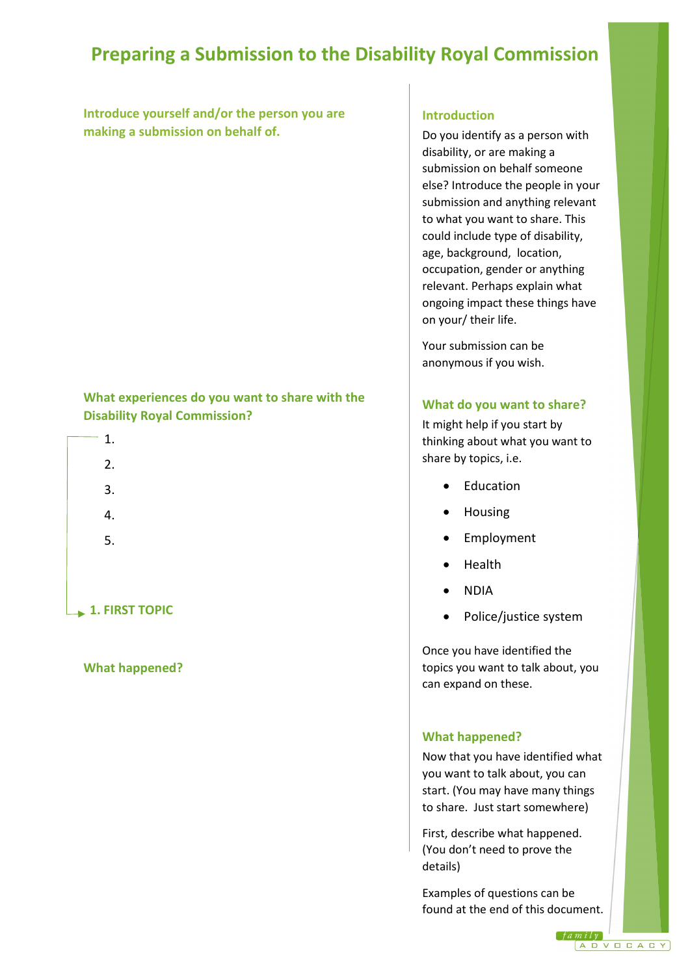# **Preparing a Submission to the Disability Royal Commission**

**Introduce yourself and/or the person you are making a submission on behalf of.**

## **What experiences do you want to share with the Disability Royal Commission?**

| 1. |  |  |  |  |
|----|--|--|--|--|
| 2. |  |  |  |  |
| 3. |  |  |  |  |
| 4. |  |  |  |  |
| 5. |  |  |  |  |
|    |  |  |  |  |

**1. FIRST TOPIC** 

### **What happened?**

### **Introduction**

Do you identify as a person with disability, or are making a submission on behalf someone else? Introduce the people in your submission and anything relevant to what you want to share. This could include type of disability, age, background, location, occupation, gender or anything relevant. Perhaps explain what ongoing impact these things have on your/ their life.

Your submission can be anonymous if you wish.

### **What do you want to share?**

It might help if you start by thinking about what you want to share by topics, i.e.

- Education
- Housing
- **Employment**
- Health
- NDIA
- Police/justice system

Once you have identified the topics you want to talk about, you can expand on these.

### **What happened?**

Now that you have identified what you want to talk about, you can start. (You may have many things to share. Just start somewhere)

First, describe what happened. (You don't need to prove the details)

Examples of questions can be found at the end of this document.

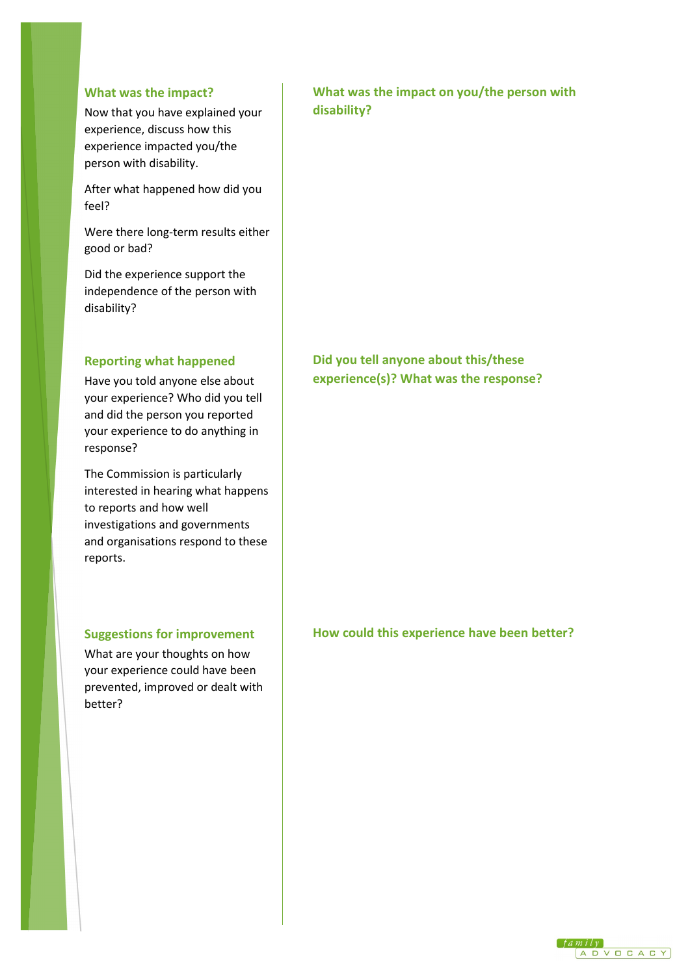#### **What was the impact?**

Now that you have explained your experience, discuss how this experience impacted you/the person with disability.

After what happened how did you feel?

Were there long-term results either good or bad?

Did the experience support the independence of the person with disability?

# **Reporting what happened**

Have you told anyone else about your experience? Who did you tell and did the person you reported your experience to do anything in response?

The Commission is particularly interested in hearing what happens to reports and how well investigations and governments and organisations respond to these reports.

### **Suggestions for improvement**

What are your thoughts on how your experience could have been prevented, improved or dealt with better?

# **What was the impact on you/the person with disability?**

# **Did you tell anyone about this/these experience(s)? What was the response?**

**How could this experience have been better?**

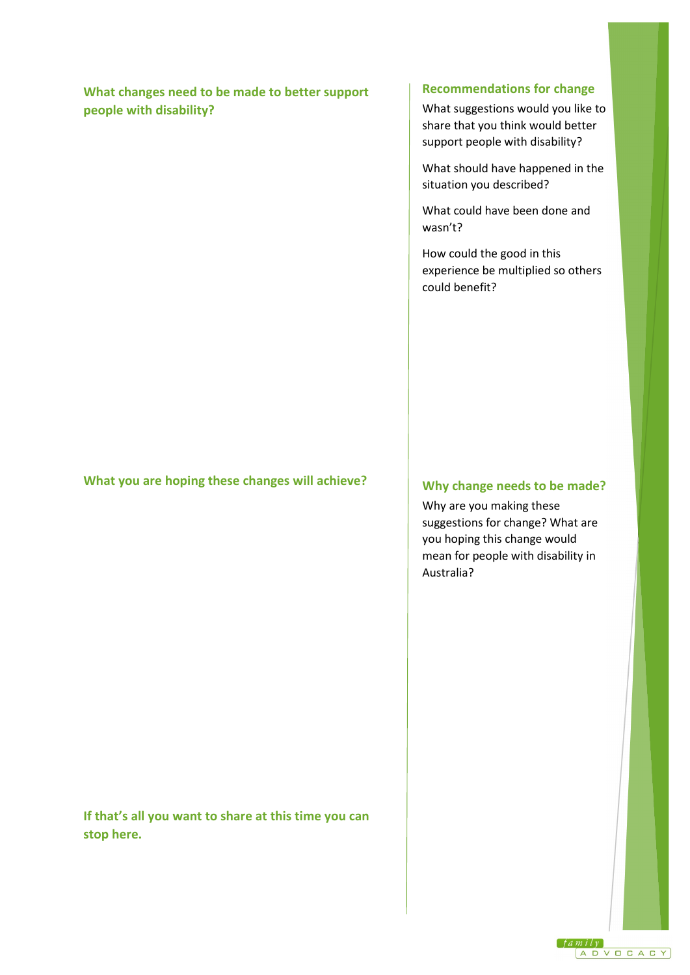# **What changes need to be made to better support people with disability?**

#### **Recommendations for change**

What suggestions would you like to share that you think would better support people with disability?

What should have happened in the situation you described?

What could have been done and wasn't?

How could the good in this experience be multiplied so others could benefit?

## **What you are hoping these changes will achieve?**

**If that's all you want to share at this time you can stop here.**

# **Why change needs to be made?**

Why are you making these suggestions for change? What are you hoping this change would mean for people with disability in Australia?

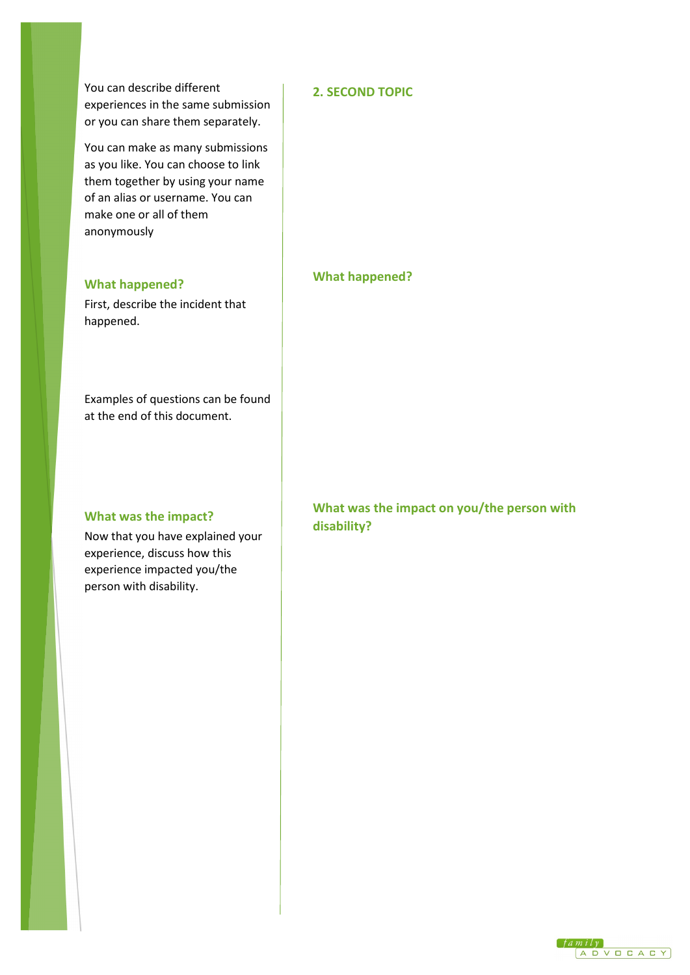You can describe different experiences in the same submission or you can share them separately.

You can make as many submissions as you like. You can choose to link them together by using your name of an alias or username. You can make one or all of them anonymously

#### **What happened?**

First, describe the incident that happened.

Examples of questions can be found at the end of this document.

#### **What was the impact?**

Now that you have explained your experience, discuss how this experience impacted you/the person with disability.

## **2. SECOND TOPIC**

**What happened?** 

**What was the impact on you/the person with disability?**

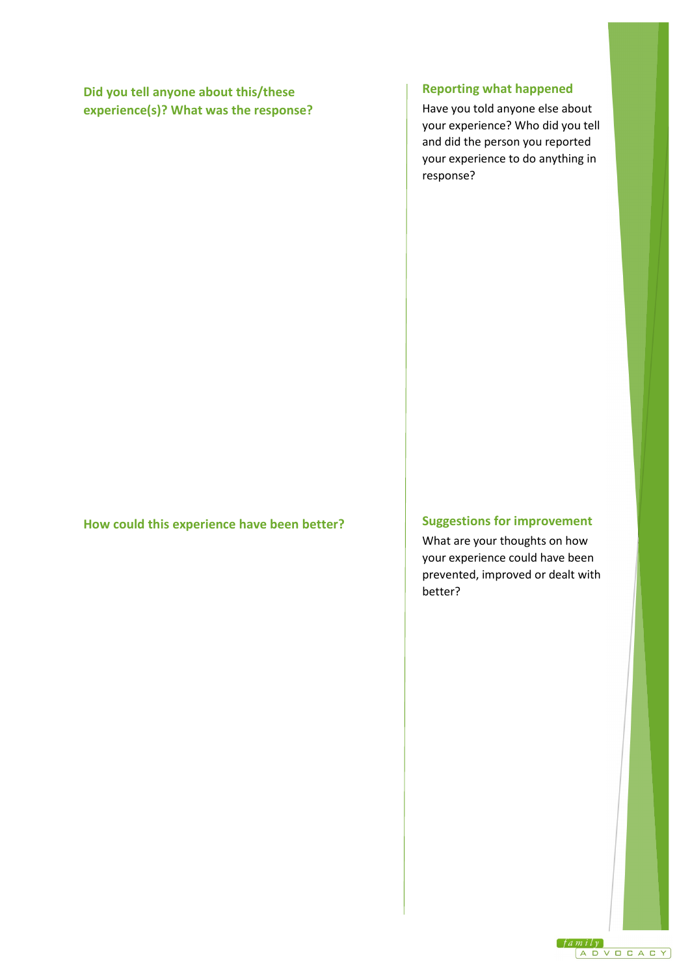# **Did you tell anyone about this/these experience(s)? What was the response?**

#### **How could this experience have been better?**

# **Reporting what happened**

Have you told anyone else about your experience? Who did you tell and did the person you reported your experience to do anything in response?

## **Suggestions for improvement**

What are your thoughts on how your experience could have been prevented, improved or dealt with better?

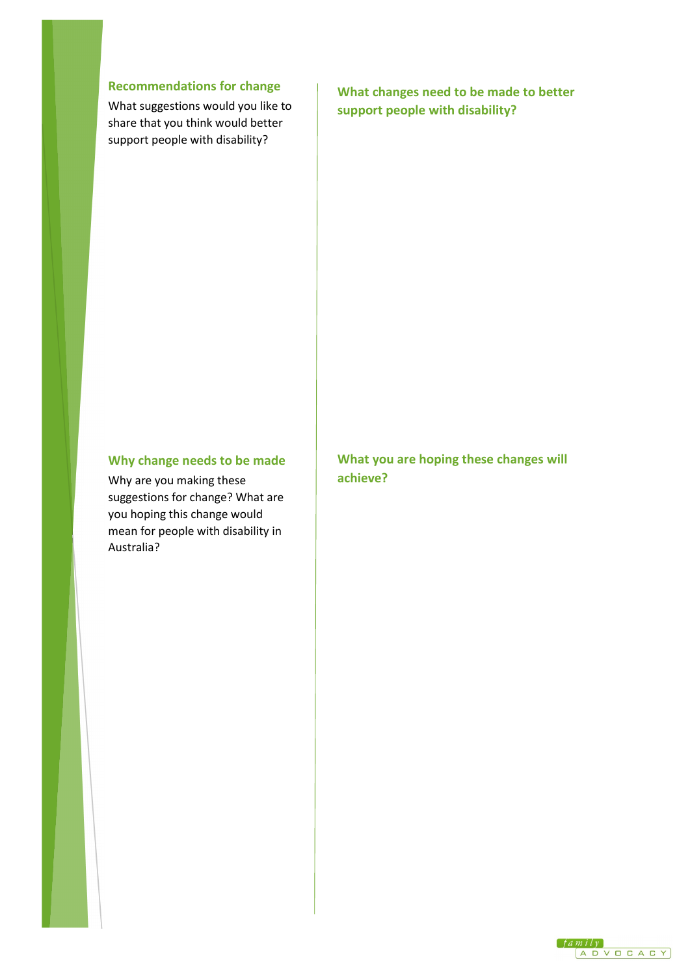# **Recommendations for change**

What suggestions would you like to share that you think would better support people with disability?

**What changes need to be made to better support people with disability?**

### **Why change needs to be made**

Why are you making these suggestions for change? What are you hoping this change would mean for people with disability in Australia?

**What you are hoping these changes will achieve?**

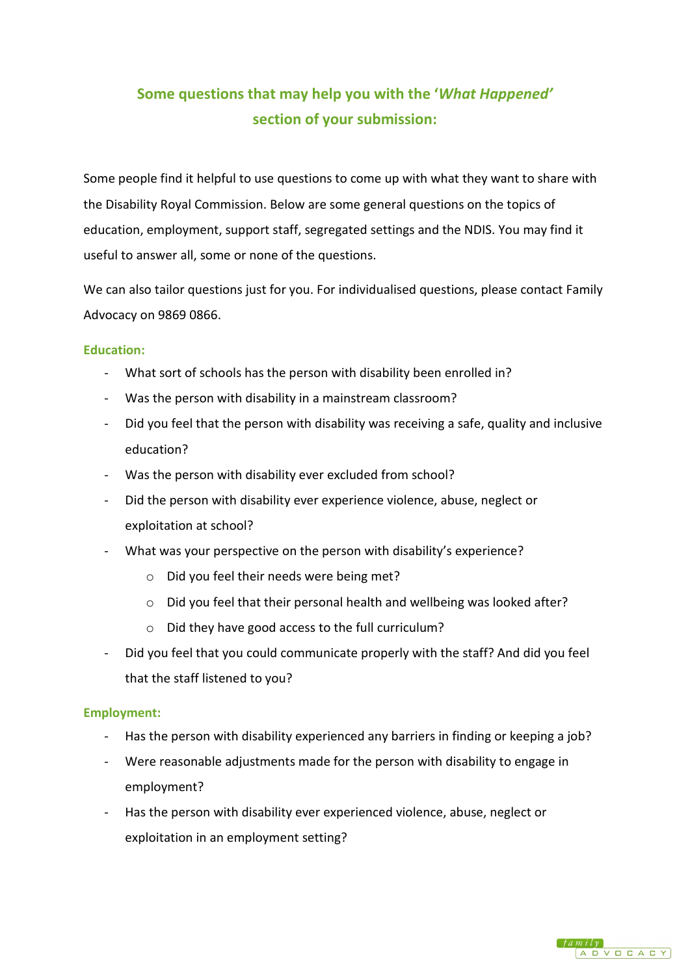# **Some questions that may help you with the '***What Happened'* **section of your submission:**

Some people find it helpful to use questions to come up with what they want to share with the Disability Royal Commission. Below are some general questions on the topics of education, employment, support staff, segregated settings and the NDIS. You may find it useful to answer all, some or none of the questions.

We can also tailor questions just for you. For individualised questions, please contact Family Advocacy on 9869 0866.

### **Education:**

- What sort of schools has the person with disability been enrolled in?
- Was the person with disability in a mainstream classroom?
- Did you feel that the person with disability was receiving a safe, quality and inclusive education?
- Was the person with disability ever excluded from school?
- Did the person with disability ever experience violence, abuse, neglect or exploitation at school?
- What was your perspective on the person with disability's experience?
	- o Did you feel their needs were being met?
	- o Did you feel that their personal health and wellbeing was looked after?
	- o Did they have good access to the full curriculum?
- Did you feel that you could communicate properly with the staff? And did you feel that the staff listened to you?

### **Employment:**

- Has the person with disability experienced any barriers in finding or keeping a job?
- Were reasonable adjustments made for the person with disability to engage in employment?
- Has the person with disability ever experienced violence, abuse, neglect or exploitation in an employment setting?

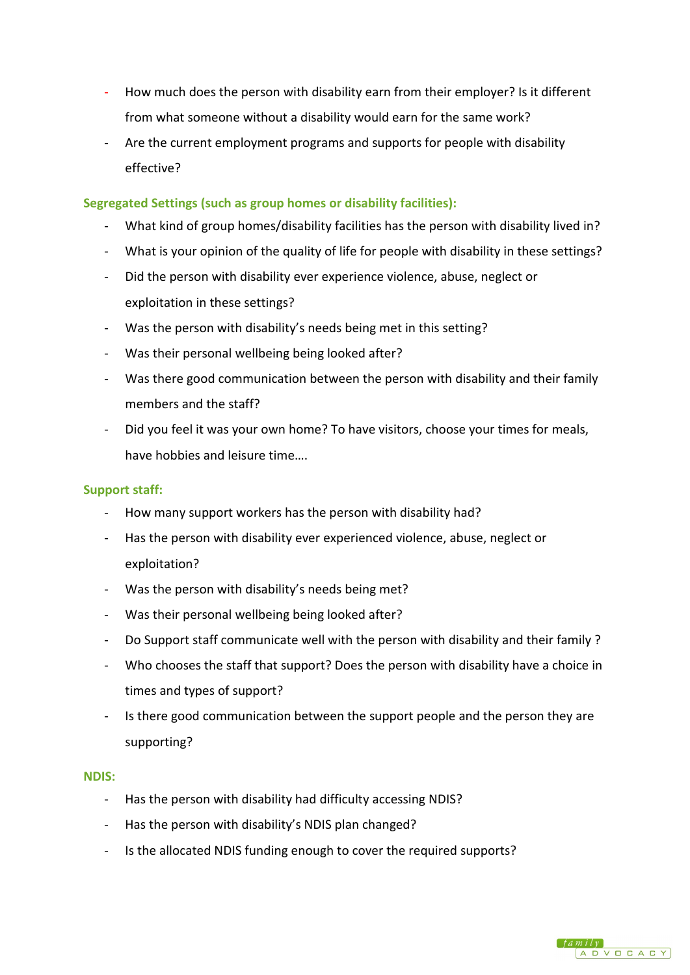- How much does the person with disability earn from their employer? Is it different from what someone without a disability would earn for the same work?
- Are the current employment programs and supports for people with disability effective?

# **Segregated Settings (such as group homes or disability facilities):**

- What kind of group homes/disability facilities has the person with disability lived in?
- What is your opinion of the quality of life for people with disability in these settings?
- Did the person with disability ever experience violence, abuse, neglect or exploitation in these settings?
- Was the person with disability's needs being met in this setting?
- Was their personal wellbeing being looked after?
- Was there good communication between the person with disability and their family members and the staff?
- Did you feel it was your own home? To have visitors, choose your times for meals, have hobbies and leisure time….

### **Support staff:**

- How many support workers has the person with disability had?
- Has the person with disability ever experienced violence, abuse, neglect or exploitation?
- Was the person with disability's needs being met?
- Was their personal wellbeing being looked after?
- Do Support staff communicate well with the person with disability and their family ?
- Who chooses the staff that support? Does the person with disability have a choice in times and types of support?
- Is there good communication between the support people and the person they are supporting?

#### **NDIS:**

- Has the person with disability had difficulty accessing NDIS?
- Has the person with disability's NDIS plan changed?
- Is the allocated NDIS funding enough to cover the required supports?